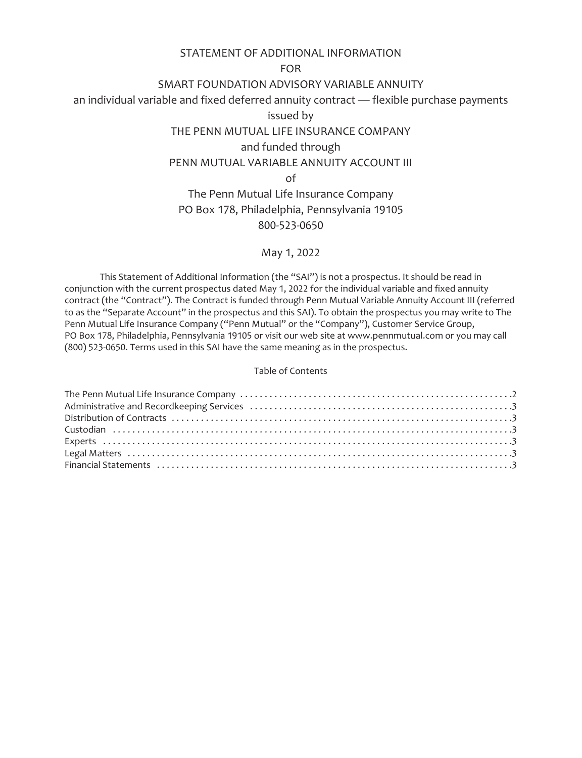# STATEMENT OF ADDITIONAL INFORMATION

## FOR

# SMART FOUNDATION ADVISORY VARIABLE ANNUITY

an individual variable and fixed deferred annuity contract — flexible purchase payments

issued by

# THE PENN MUTUAL LIFE INSURANCE COMPANY

# and funded through

# PENN MUTUAL VARIABLE ANNUITY ACCOUNT III

of

# The Penn Mutual Life Insurance Company PO Box 178, Philadelphia, Pennsylvania 19105 800-523-0650

# May 1, 2022

This Statement of Additional Information (the "SAI") is not a prospectus. It should be read in conjunction with the current prospectus dated May 1, 2022 for the individual variable and fixed annuity contract (the "Contract"). The Contract is funded through Penn Mutual Variable Annuity Account III (referred to as the "Separate Account" in the prospectus and this SAI). To obtain the prospectus you may write to The Penn Mutual Life Insurance Company ("Penn Mutual" or the "Company"), Customer Service Group, PO Box 178, Philadelphia, Pennsylvania 19105 or visit our web site at www.pennmutual.com or you may call (800) 523-0650. Terms used in this SAI have the same meaning as in the prospectus.

# Table of Contents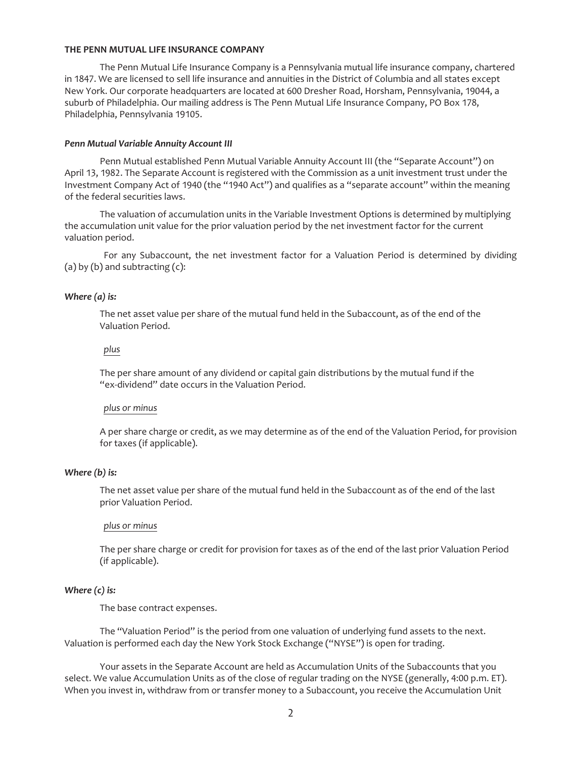#### <span id="page-1-0"></span>**THE PENN MUTUAL LIFE INSURANCE COMPANY**

The Penn Mutual Life Insurance Company is a Pennsylvania mutual life insurance company, chartered in 1847. We are licensed to sell life insurance and annuities in the District of Columbia and all states except New York. Our corporate headquarters are located at 600 Dresher Road, Horsham, Pennsylvania, 19044, a suburb of Philadelphia. Our mailing address is The Penn Mutual Life Insurance Company, PO Box 178, Philadelphia, Pennsylvania 19105.

#### *Penn Mutual Variable Annuity Account III*

Penn Mutual established Penn Mutual Variable Annuity Account III (the "Separate Account") on April 13, 1982. The Separate Account is registered with the Commission as a unit investment trust under the Investment Company Act of 1940 (the "1940 Act") and qualifies as a "separate account" within the meaning of the federal securities laws.

The valuation of accumulation units in the Variable Investment Options is determined by multiplying the accumulation unit value for the prior valuation period by the net investment factor for the current valuation period.

For any Subaccount, the net investment factor for a Valuation Period is determined by dividing  $(a)$  by  $(b)$  and subtracting  $(c)$ :

#### *Where (a) is:*

The net asset value per share of the mutual fund held in the Subaccount, as of the end of the Valuation Period.

#### *plus*

The per share amount of any dividend or capital gain distributions by the mutual fund if the "ex-dividend" date occurs in the Valuation Period.

#### *plus or minus*

A per share charge or credit, as we may determine as of the end of the Valuation Period, for provision for taxes (if applicable).

#### *Where (b) is:*

The net asset value per share of the mutual fund held in the Subaccount as of the end of the last prior Valuation Period.

#### *plus or minus*

The per share charge or credit for provision for taxes as of the end of the last prior Valuation Period (if applicable).

#### *Where (c) is:*

The base contract expenses.

The "Valuation Period" is the period from one valuation of underlying fund assets to the next. Valuation is performed each day the New York Stock Exchange ("NYSE") is open for trading.

Your assets in the Separate Account are held as Accumulation Units of the Subaccounts that you select. We value Accumulation Units as of the close of regular trading on the NYSE (generally, 4:00 p.m. ET). When you invest in, withdraw from or transfer money to a Subaccount, you receive the Accumulation Unit